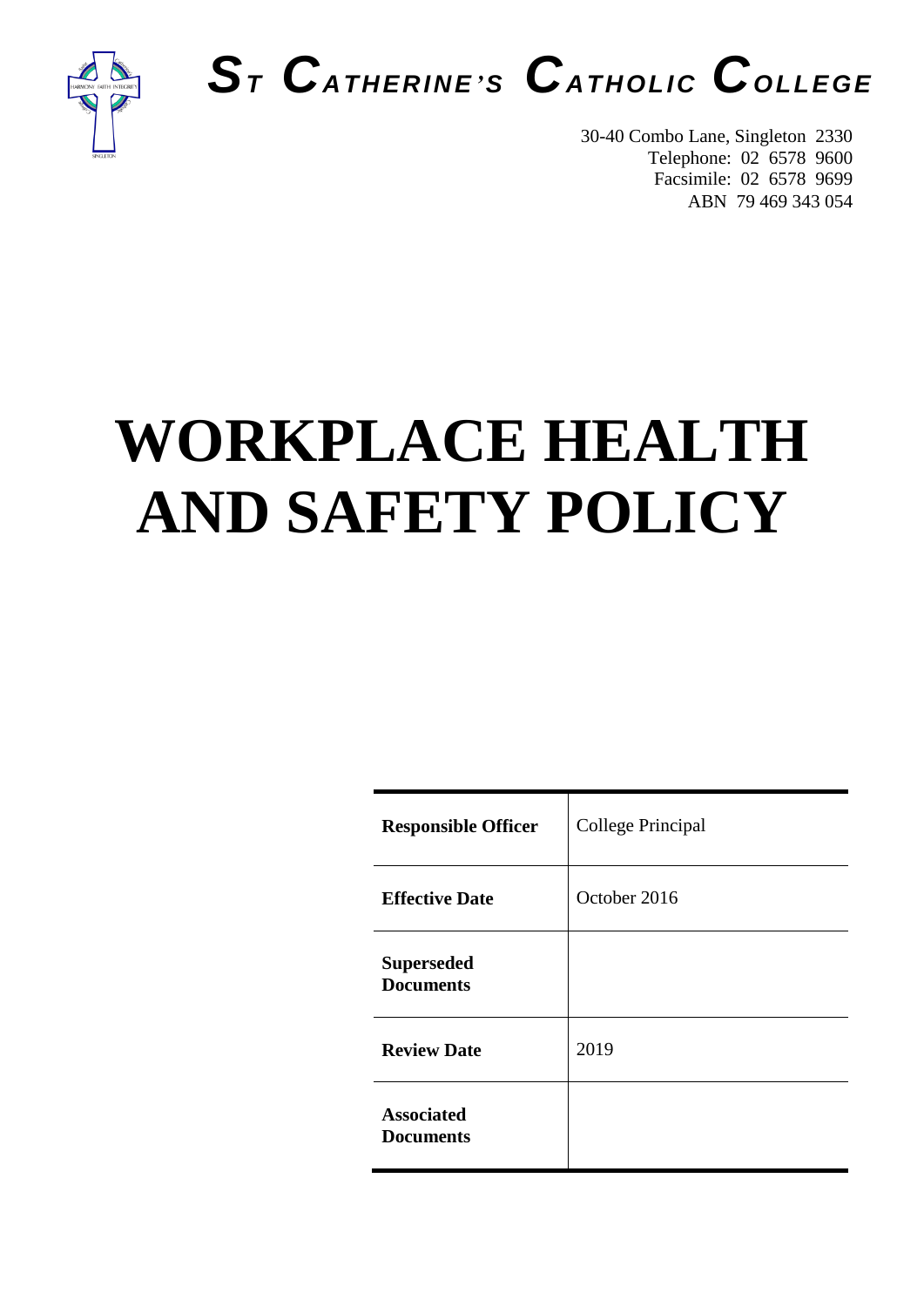

# *S<sup>T</sup> CATHERINE'<sup>S</sup> CATHOLIC COLLEGE*

30-40 Combo Lane, Singleton 2330 Telephone: 02 6578 9600 Facsimile: 02 6578 9699 ABN 79 469 343 054

# **WORKPLACE HEALTH AND SAFETY POLICY**

| <b>Responsible Officer</b>            | College Principal |
|---------------------------------------|-------------------|
| <b>Effective Date</b>                 | October 2016      |
| <b>Superseded</b><br><b>Documents</b> |                   |
| <b>Review Date</b>                    | 2019              |
| <b>Associated</b><br><b>Documents</b> |                   |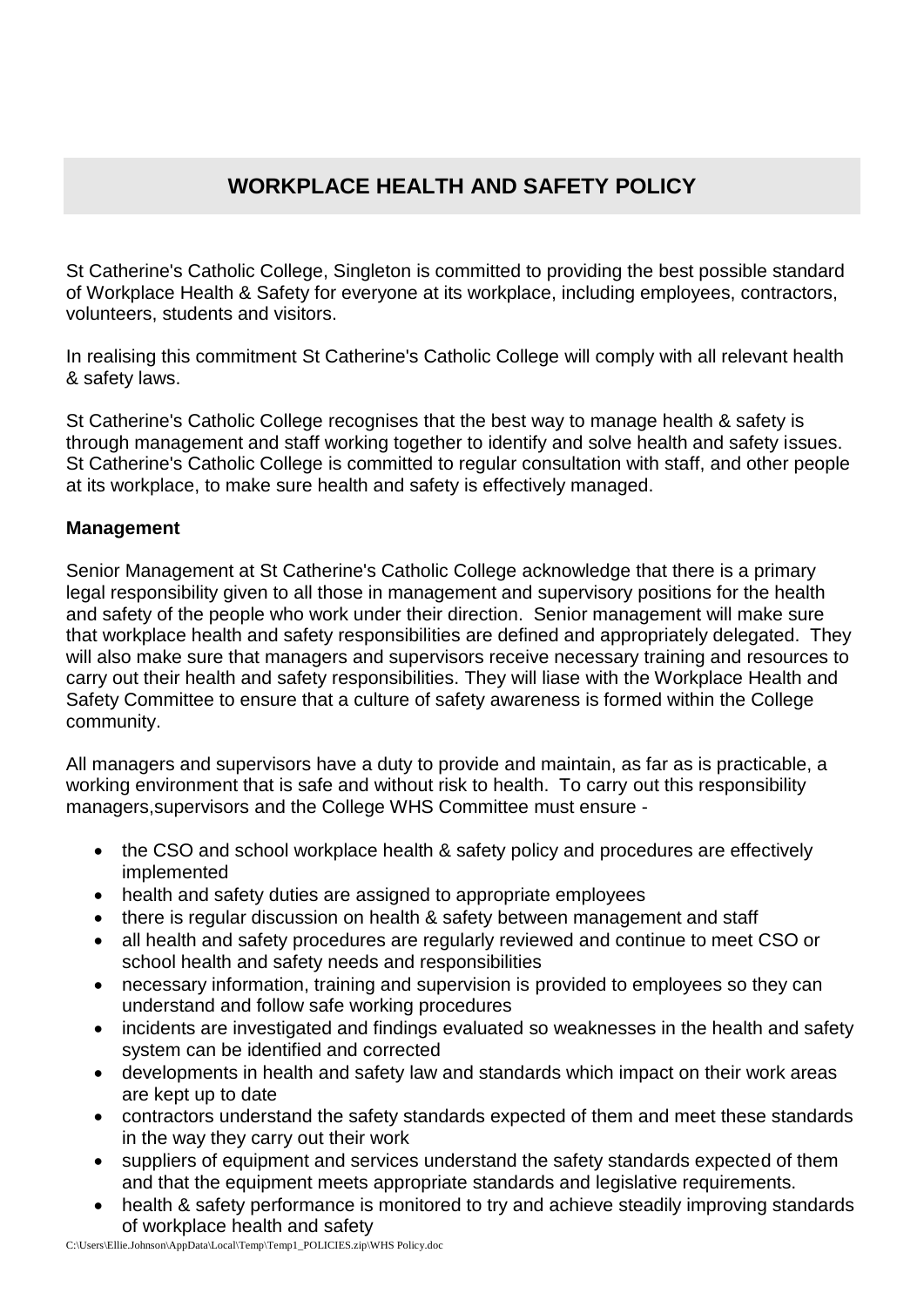## **WORKPLACE HEALTH AND SAFETY POLICY**

St Catherine's Catholic College, Singleton is committed to providing the best possible standard of Workplace Health & Safety for everyone at its workplace, including employees, contractors, volunteers, students and visitors.

In realising this commitment St Catherine's Catholic College will comply with all relevant health & safety laws.

St Catherine's Catholic College recognises that the best way to manage health & safety is through management and staff working together to identify and solve health and safety issues. St Catherine's Catholic College is committed to regular consultation with staff, and other people at its workplace, to make sure health and safety is effectively managed.

### **Management**

Senior Management at St Catherine's Catholic College acknowledge that there is a primary legal responsibility given to all those in management and supervisory positions for the health and safety of the people who work under their direction. Senior management will make sure that workplace health and safety responsibilities are defined and appropriately delegated. They will also make sure that managers and supervisors receive necessary training and resources to carry out their health and safety responsibilities. They will liase with the Workplace Health and Safety Committee to ensure that a culture of safety awareness is formed within the College community.

All managers and supervisors have a duty to provide and maintain, as far as is practicable, a working environment that is safe and without risk to health. To carry out this responsibility managers,supervisors and the College WHS Committee must ensure -

- the CSO and school workplace health & safety policy and procedures are effectively implemented
- health and safety duties are assigned to appropriate employees
- there is regular discussion on health & safety between management and staff
- all health and safety procedures are regularly reviewed and continue to meet CSO or school health and safety needs and responsibilities
- necessary information, training and supervision is provided to employees so they can understand and follow safe working procedures
- incidents are investigated and findings evaluated so weaknesses in the health and safety system can be identified and corrected
- developments in health and safety law and standards which impact on their work areas are kept up to date
- contractors understand the safety standards expected of them and meet these standards in the way they carry out their work
- suppliers of equipment and services understand the safety standards expected of them and that the equipment meets appropriate standards and legislative requirements.
- health & safety performance is monitored to try and achieve steadily improving standards of workplace health and safety